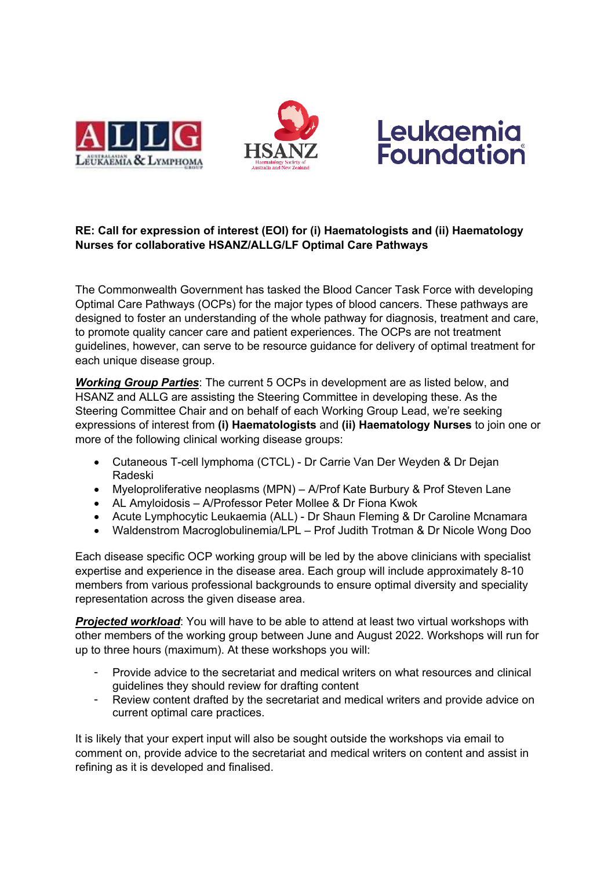





## **RE: Call for expression of interest (EOI) for (i) Haematologists and (ii) Haematology Nurses for collaborative HSANZ/ALLG/LF Optimal Care Pathways**

The Commonwealth Government has tasked the Blood Cancer Task Force with developing Optimal Care Pathways (OCPs) for the major types of blood cancers. These pathways are designed to foster an understanding of the whole pathway for diagnosis, treatment and care, to promote quality cancer care and patient experiences. The OCPs are not treatment guidelines, however, can serve to be resource guidance for delivery of optimal treatment for each unique disease group.

*Working Group Parties*: The current 5 OCPs in development are as listed below, and HSANZ and ALLG are assisting the Steering Committee in developing these. As the Steering Committee Chair and on behalf of each Working Group Lead, we're seeking expressions of interest from **(i) Haematologists** and **(ii) Haematology Nurses** to join one or more of the following clinical working disease groups:

- Cutaneous T-cell lymphoma (CTCL) Dr Carrie Van Der Weyden & Dr Dejan Radeski
- Myeloproliferative neoplasms (MPN) A/Prof Kate Burbury & Prof Steven Lane
- AL Amyloidosis A/Professor Peter Mollee & Dr Fiona Kwok
- Acute Lymphocytic Leukaemia (ALL) Dr Shaun Fleming & Dr Caroline Mcnamara
- Waldenstrom Macroglobulinemia/LPL Prof Judith Trotman & Dr Nicole Wong Doo

Each disease specific OCP working group will be led by the above clinicians with specialist expertise and experience in the disease area. Each group will include approximately 8-10 members from various professional backgrounds to ensure optimal diversity and speciality representation across the given disease area.

*Projected workload*: You will have to be able to attend at least two virtual workshops with other members of the working group between June and August 2022. Workshops will run for up to three hours (maximum). At these workshops you will:

- Provide advice to the secretariat and medical writers on what resources and clinical guidelines they should review for drafting content
- Review content drafted by the secretariat and medical writers and provide advice on current optimal care practices.

It is likely that your expert input will also be sought outside the workshops via email to comment on, provide advice to the secretariat and medical writers on content and assist in refining as it is developed and finalised.